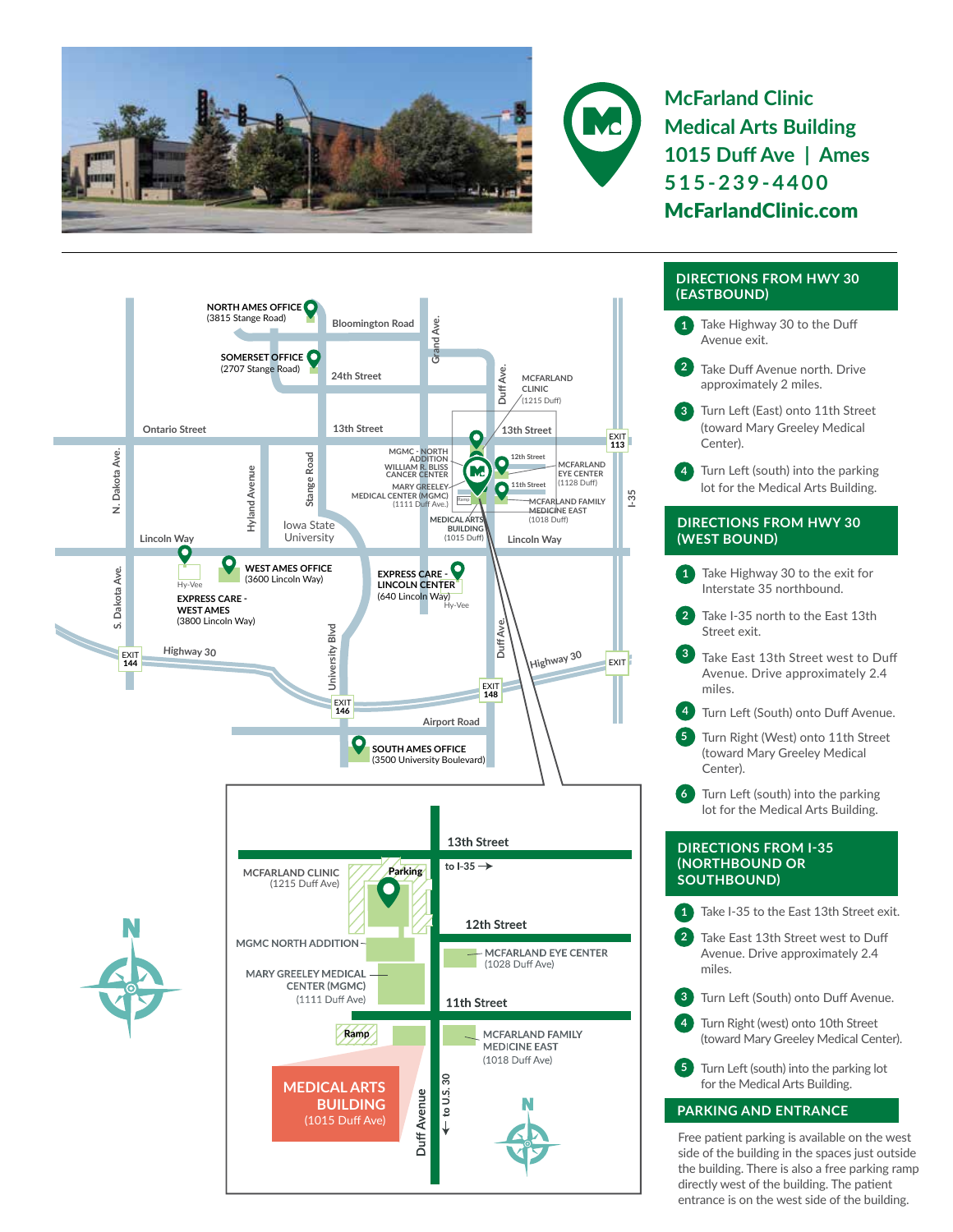



**McFarland Clinic Medical Arts Building 1015 Duff Ave | Ames 515-239-4400** McFarlandClinic.com



## **DIRECTIONS FROM HWY 30 (EASTBOUND)**

- **1** Take Highway 30 to the Duff Avenue exit.
- **2** Take Duff Avenue north. Drive approximately 2 miles.
- **3** Turn Left (East) onto 11th Street (toward Mary Greeley Medical Center).
- **4** Turn Left (south) into the parking lot for the Medical Arts Building.

## **DIRECTIONS FROM HWY 30 (WEST BOUND)**

- Take Highway 30 to the exit for Interstate 35 northbound.
- Take I-35 north to the East 13th Street exit.
- **<sup>3</sup>** Take East 13th Street west to Duff Avenue. Drive approximately 2.4 miles.
- **4** Turn Left (South) onto Duff Avenue.
- **5** Turn Right (West) onto 11th Street (toward Mary Greeley Medical Center).
- **6** Turn Left (south) into the parking lot for the Medical Arts Building.

### **DIRECTIONS FROM I-35 (NORTHBOUND OR SOUTHBOUND)**

- **1** Take I-35 to the East 13th Street exit.
- **2** Take East 13th Street west to Duff Avenue. Drive approximately 2.4 miles.
- **3** Turn Left (South) onto Duff Avenue.
	- Turn Right (west) onto 10th Street (toward Mary Greeley Medical Center).
- **5** Turn Left (south) into the parking lot for the Medical Arts Building.

# **PARKING AND ENTRANCE**

Free patient parking is available on the west side of the building in the spaces just outside the building. There is also a free parking ramp directly west of the building. The patient entrance is on the west side of the building.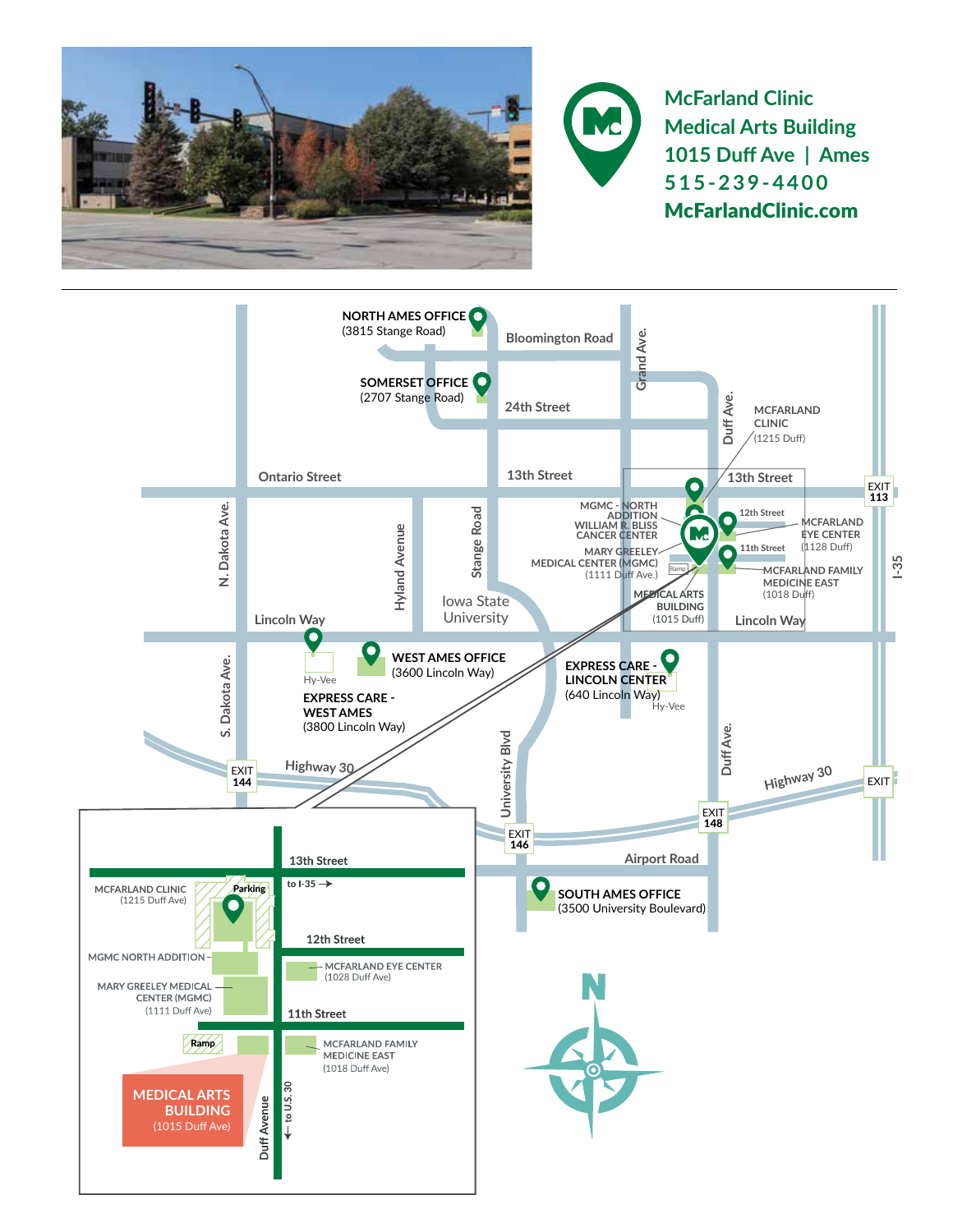